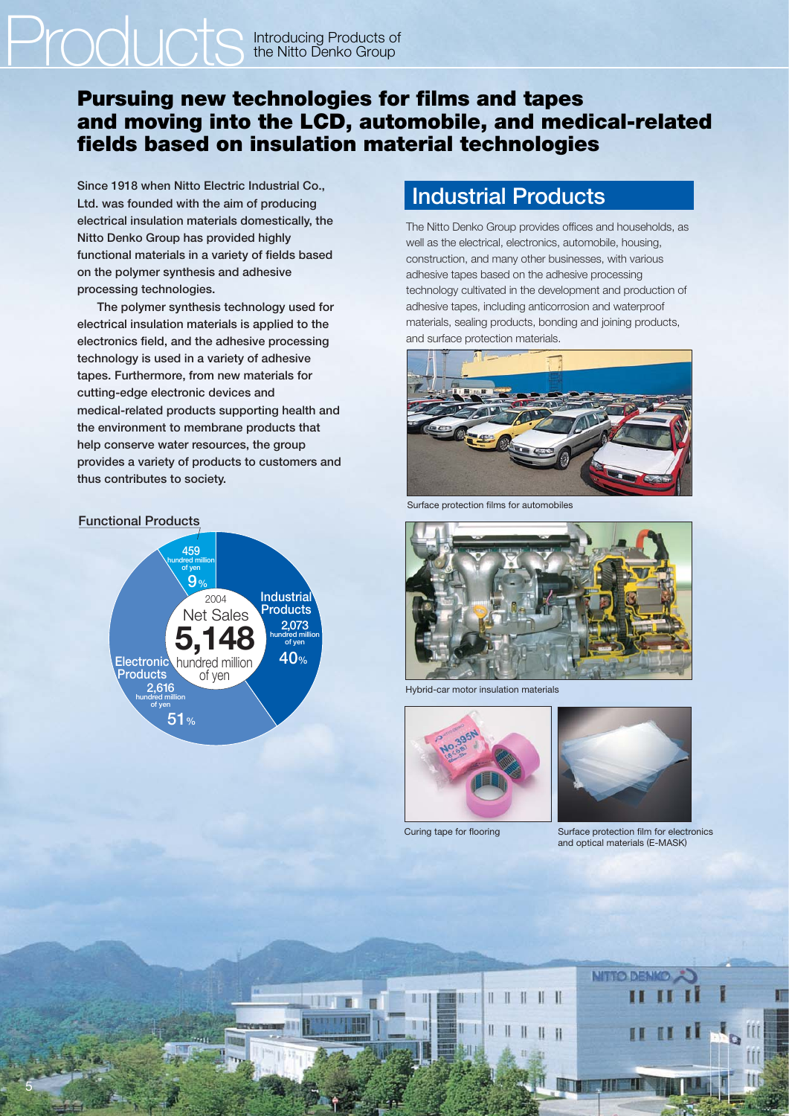# Products Introducing Products of the Nitto Denko Group

#### **Pursuing new technologies for films and tapes and moving into the LCD, automobile, and medical-related fields based on insulation material technologies**

**Since 1918 when Nitto Electric Industrial Co., Ltd. was founded with the aim of producing electrical insulation materials domestically, the Nitto Denko Group has provided highly functional materials in a variety of fields based on the polymer synthesis and adhesive processing technologies.**

 **The polymer synthesis technology used for electrical insulation materials is applied to the electronics field, and the adhesive processing technology is used in a variety of adhesive tapes. Furthermore, from new materials for cutting-edge electronic devices and medical-related products supporting health and the environment to membrane products that help conserve water resources, the group provides a variety of products to customers and thus contributes to society.**

#### **Functional Products**

5



## **Industrial Products**

The Nitto Denko Group provides offices and households, as well as the electrical, electronics, automobile, housing, construction, and many other businesses, with various adhesive tapes based on the adhesive processing technology cultivated in the development and production of adhesive tapes, including anticorrosion and waterproof materials, sealing products, bonding and joining products, and surface protection materials.



Surface protection films for automobiles



Hybrid-car motor insulation materials



Ш

Curing tape for flooring



Surface protection film for electronics and optical materials (E-MASK)

**NITTO DEM**